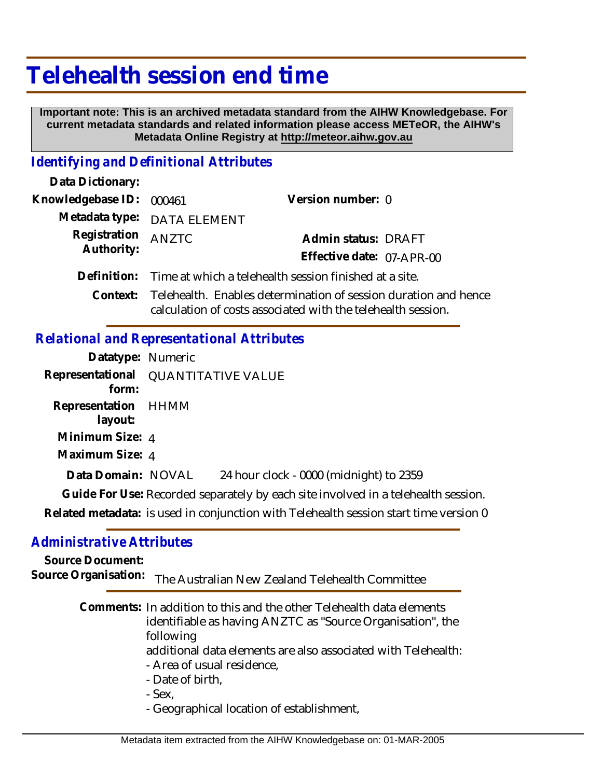# **Telehealth session end time**

 **Important note: This is an archived metadata standard from the AIHW Knowledgebase. For current metadata standards and related information please access METeOR, the AIHW's Metadata Online Registry at http://meteor.aihw.gov.au**

#### *Identifying and Definitional Attributes*

| Data Dictionary:           |                                                                                                                                 |                           |  |
|----------------------------|---------------------------------------------------------------------------------------------------------------------------------|---------------------------|--|
| Knowledgebase ID:          | 000461                                                                                                                          | Version number: 0         |  |
|                            | Metadata type: DATA ELEMENT                                                                                                     |                           |  |
| Registration<br>Authority: | ANZTC                                                                                                                           | Admin status: DRAFT       |  |
|                            |                                                                                                                                 | Effective date: 07-APR-00 |  |
| Definition:                | Time at which a telehealth session finished at a site.                                                                          |                           |  |
| Context:                   | Telehealth. Enables determination of session duration and hence<br>calculation of costs associated with the telehealth session. |                           |  |

### *Relational and Representational Attributes*

| Datatype: Numeric                                                    |                                                                                                                                                                            |
|----------------------------------------------------------------------|----------------------------------------------------------------------------------------------------------------------------------------------------------------------------|
| form:                                                                | Representational QUANTITATIVE VALUE                                                                                                                                        |
| Representation HHMM<br>layout:<br>Minimum Size: 4<br>Maximum Size: 4 |                                                                                                                                                                            |
| Data Domain: NOVAL                                                   | 24 hour clock - 0000 (midnight) to 2359                                                                                                                                    |
|                                                                      | Guide For Use: Recorded separately by each site involved in a telehealth session.<br>Related metadata: is used in conjunction with Telehealth session start time version 0 |
|                                                                      |                                                                                                                                                                            |

#### *Administrative Attributes*

### **Source Document:**

Source Organisation: The Australian New Zealand Telehealth Committee

## Comments: In addition to this and the other Telehealth data elements identifiable as having ANZTC as "Source Organisation", the following

- additional data elements are also associated with Telehealth: - Area of usual residence,
- Date of birth,
- Sex,
- Geographical location of establishment,